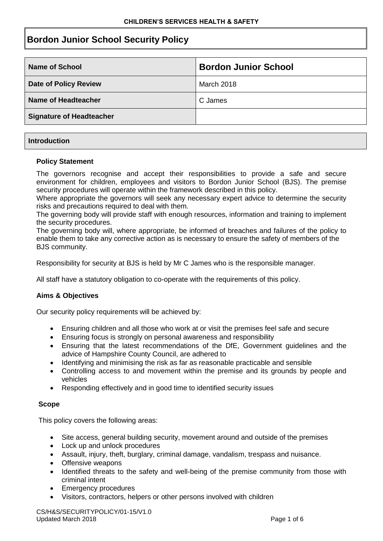# **Bordon Junior School Security Policy**

| <b>Name of School</b>           | <b>Bordon Junior School</b> |
|---------------------------------|-----------------------------|
| <b>Date of Policy Review</b>    | March 2018                  |
| Name of Headteacher             | C James                     |
| <b>Signature of Headteacher</b> |                             |

## **Introduction**

## **Policy Statement**

The governors recognise and accept their responsibilities to provide a safe and secure environment for children, employees and visitors to Bordon Junior School (BJS). The premise security procedures will operate within the framework described in this policy.

Where appropriate the governors will seek any necessary expert advice to determine the security risks and precautions required to deal with them.

The governing body will provide staff with enough resources, information and training to implement the security procedures.

The governing body will, where appropriate, be informed of breaches and failures of the policy to enable them to take any corrective action as is necessary to ensure the safety of members of the BJS community.

Responsibility for security at BJS is held by Mr C James who is the responsible manager.

All staff have a statutory obligation to co-operate with the requirements of this policy.

# **Aims & Objectives**

Our security policy requirements will be achieved by:

- Ensuring children and all those who work at or visit the premises feel safe and secure
- Ensuring focus is strongly on personal awareness and responsibility
- Ensuring that the latest recommendations of the DfE, Government guidelines and the advice of Hampshire County Council, are adhered to
- Identifying and minimising the risk as far as reasonable practicable and sensible
- Controlling access to and movement within the premise and its grounds by people and vehicles
- Responding effectively and in good time to identified security issues

# **Scope**

This policy covers the following areas:

- Site access, general building security, movement around and outside of the premises
- Lock up and unlock procedures
- Assault, injury, theft, burglary, criminal damage, vandalism, trespass and nuisance.
- Offensive weapons
- Identified threats to the safety and well-being of the premise community from those with criminal intent
- Emergency procedures
- Visitors, contractors, helpers or other persons involved with children

CS/H&S/SECURITYPOLICY/01-15/V1.0 Updated March 2018 **Page 1 of 6** Page 1 of 6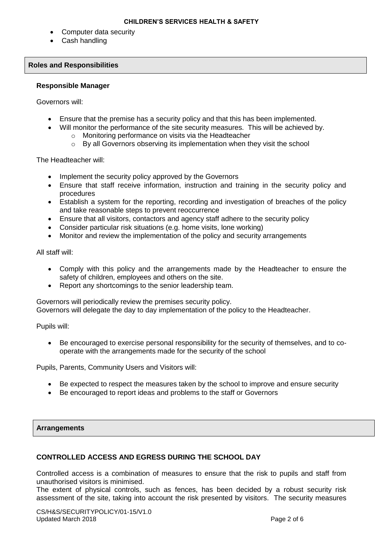- Computer data security
- Cash handling

#### **Roles and Responsibilities**

#### **Responsible Manager**

Governors will:

- Ensure that the premise has a security policy and that this has been implemented.
- Will monitor the performance of the site security measures. This will be achieved by.
	- o Monitoring performance on visits via the Headteacher
	- o By all Governors observing its implementation when they visit the school

The Headteacher will:

- Implement the security policy approved by the Governors
- Ensure that staff receive information, instruction and training in the security policy and procedures
- Establish a system for the reporting, recording and investigation of breaches of the policy and take reasonable steps to prevent reoccurrence
- Ensure that all visitors, contactors and agency staff adhere to the security policy
- Consider particular risk situations (e.g. home visits, lone working)
- Monitor and review the implementation of the policy and security arrangements

All staff will:

- Comply with this policy and the arrangements made by the Headteacher to ensure the safety of children, employees and others on the site.
- Report any shortcomings to the senior leadership team.

Governors will periodically review the premises security policy. Governors will delegate the day to day implementation of the policy to the Headteacher.

Pupils will:

 Be encouraged to exercise personal responsibility for the security of themselves, and to cooperate with the arrangements made for the security of the school

Pupils, Parents, Community Users and Visitors will:

- Be expected to respect the measures taken by the school to improve and ensure security
- Be encouraged to report ideas and problems to the staff or Governors

#### **Arrangements**

# **CONTROLLED ACCESS AND EGRESS DURING THE SCHOOL DAY**

Controlled access is a combination of measures to ensure that the risk to pupils and staff from unauthorised visitors is minimised.

The extent of physical controls, such as fences, has been decided by a robust security risk assessment of the site, taking into account the risk presented by visitors. The security measures

CS/H&S/SECURITYPOLICY/01-15/V1.0 Updated March 2018 **Page 2 of 6** Page 2 of 6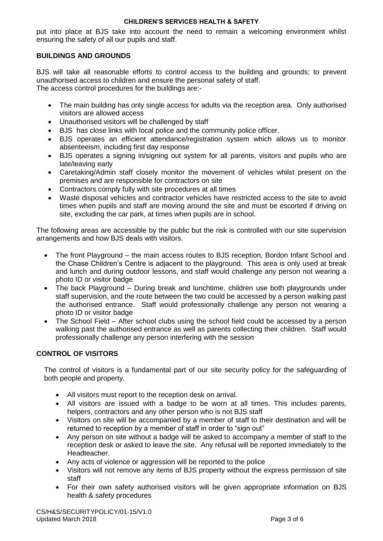## **CHILDREN'S SERVICES HEALTH & SAFETY**

put into place at BJS take into account the need to remain a welcoming environment whilst ensuring the safety of all our pupils and staff.

# **BUILDINGS AND GROUNDS**

BJS will take all reasonable efforts to control access to the building and grounds; to prevent unauthorised access to children and ensure the personal safety of staff. The access control procedures for the buildings are:-

- The main building has only single access for adults via the reception area. Only authorised visitors are allowed access
- Unauthorised visitors will be challenged by staff
- BJS has close links with local police and the community police officer.
- BJS operates an efficient attendance/registration system which allows us to monitor absenteeism, including first day response
- BJS operates a signing in/signing out system for all parents, visitors and pupils who are late/leaving early
- Caretaking/Admin staff closely monitor the movement of vehicles whilst present on the premises and are responsible for contractors on site
- Contractors comply fully with site procedures at all times
- Waste disposal vehicles and contractor vehicles have restricted access to the site to avoid times when pupils and staff are moving around the site and must be escorted if driving on site, excluding the car park, at times when pupils are in school.

The following areas are accessible by the public but the risk is controlled with our site supervision arrangements and how BJS deals with visitors.

- The front Playground the main access routes to BJS reception, Bordon Infant School and the Chase Children's Centre is adjacent to the playground. This area is only used at break and lunch and during outdoor lessons, and staff would challenge any person not wearing a photo ID or visitor badge
- The back Playground During break and lunchtime, children use both playgrounds under staff supervision, and the route between the two could be accessed by a person walking past the authorised entrance. Staff would professionally challenge any person not wearing a photo ID or visitor badge
- The School Field After school clubs using the school field could be accessed by a person walking past the authorised entrance as well as parents collecting their children. Staff would professionally challenge any person interfering with the session

# **CONTROL OF VISITORS**

The control of visitors is a fundamental part of our site security policy for the safeguarding of both people and property.

- All visitors must report to the reception desk on arrival.
- All visitors are issued with a badge to be worn at all times. This includes parents, helpers, contractors and any other person who is not BJS staff
- Visitors on site will be accompanied by a member of staff to their destination and will be returned to reception by a member of staff in order to "sign out"
- Any person on site without a badge will be asked to accompany a member of staff to the reception desk or asked to leave the site. Any refusal will be reported immediately to the Headteacher.
- Any acts of violence or aggression will be reported to the police
- Visitors will not remove any items of BJS property without the express permission of site staff
- For their own safety authorised visitors will be given appropriate information on BJS health & safety procedures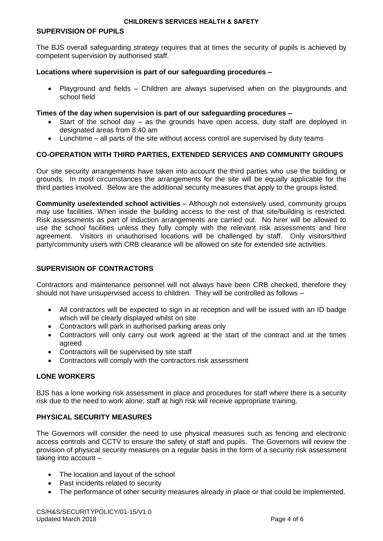## **SUPERVISION OF PUPILS**

The BJS overall safeguarding strategy requires that at times the security of pupils is achieved by competent supervision by authorised staff.

## **Locations where supervision is part of our safeguarding procedures –**

 Playground and fields – Children are always supervised when on the playgrounds and school field

## **Times of the day when supervision is part of our safeguarding procedures –**

- Start of the school day as the grounds have open access, duty staff are deployed in designated areas from 8:40 am
- Lunchtime all parts of the site without access control are supervised by duty teams

# **CO-OPERATION WITH THIRD PARTIES, EXTENDED SERVICES AND COMMUNITY GROUPS**

Our site security arrangements have taken into account the third parties who use the building or grounds. In most circumstances the arrangements for the site will be equally applicable for the third parties involved. Below are the additional security measures that apply to the groups listed.

**Community use/extended school activities** – Although not extensively used, community groups may use facilities. When inside the building access to the rest of that site/building is restricted. Risk assessments as part of induction arrangements are carried out. No hirer will be allowed to use the school facilities unless they fully comply with the relevant risk assessments and hire agreement. Visitors in unauthorised locations will be challenged by staff. Only visitors/third party/community users with CRB clearance will be allowed on site for extended site activities.

# **SUPERVISION OF CONTRACTORS**

Contractors and maintenance personnel will not always have been CRB checked, therefore they should not have unsupervised access to children. They will be controlled as follows –

- All contractors will be expected to sign in at reception and will be issued with an ID badge which will be clearly displayed whilst on site
- Contractors will park in authorised parking areas only
- Contractors will only carry out work agreed at the start of the contract and at the times agreed
- Contractors will be supervised by site staff
- Contractors will comply with the contractors risk assessment

# **LONE WORKERS**

BJS has a lone working risk assessment in place and procedures for staff where there is a security risk due to the need to work alone; staff at high risk will receive appropriate training.

# **PHYSICAL SECURITY MEASURES**

The Governors will consider the need to use physical measures such as fencing and electronic access controls and CCTV to ensure the safety of staff and pupils. The Governors will review the provision of physical security measures on a regular basis in the form of a security risk assessment taking into account –

- The location and layout of the school
- Past incidents related to security
- The performance of other security measures already in place or that could be implemented.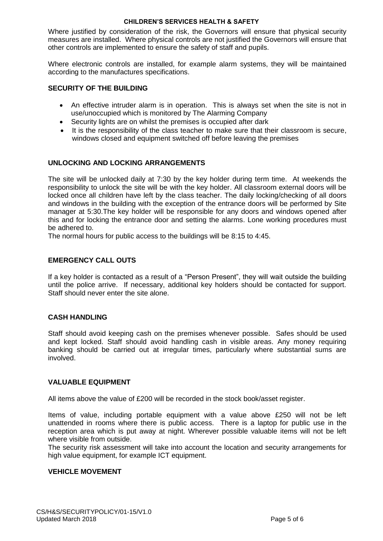#### **CHILDREN'S SERVICES HEALTH & SAFETY**

Where justified by consideration of the risk, the Governors will ensure that physical security measures are installed. Where physical controls are not justified the Governors will ensure that other controls are implemented to ensure the safety of staff and pupils.

Where electronic controls are installed, for example alarm systems, they will be maintained according to the manufactures specifications.

# **SECURITY OF THE BUILDING**

- An effective intruder alarm is in operation. This is always set when the site is not in use/unoccupied which is monitored by The Alarming Company
- Security lights are on whilst the premises is occupied after dark
- It is the responsibility of the class teacher to make sure that their classroom is secure, windows closed and equipment switched off before leaving the premises

## **UNLOCKING AND LOCKING ARRANGEMENTS**

The site will be unlocked daily at 7:30 by the key holder during term time. At weekends the responsibility to unlock the site will be with the key holder. All classroom external doors will be locked once all children have left by the class teacher. The daily locking/checking of all doors and windows in the building with the exception of the entrance doors will be performed by Site manager at 5:30.The key holder will be responsible for any doors and windows opened after this and for locking the entrance door and setting the alarms. Lone working procedures must be adhered to.

The normal hours for public access to the buildings will be 8:15 to 4:45.

## **EMERGENCY CALL OUTS**

If a key holder is contacted as a result of a "Person Present", they will wait outside the building until the police arrive. If necessary, additional key holders should be contacted for support. Staff should never enter the site alone.

#### **CASH HANDLING**

Staff should avoid keeping cash on the premises whenever possible. Safes should be used and kept locked. Staff should avoid handling cash in visible areas. Any money requiring banking should be carried out at irregular times, particularly where substantial sums are involved.

#### **VALUABLE EQUIPMENT**

All items above the value of £200 will be recorded in the stock book/asset register.

Items of value, including portable equipment with a value above £250 will not be left unattended in rooms where there is public access. There is a laptop for public use in the reception area which is put away at night. Wherever possible valuable items will not be left where visible from outside.

The security risk assessment will take into account the location and security arrangements for high value equipment, for example ICT equipment.

#### **VEHICLE MOVEMENT**